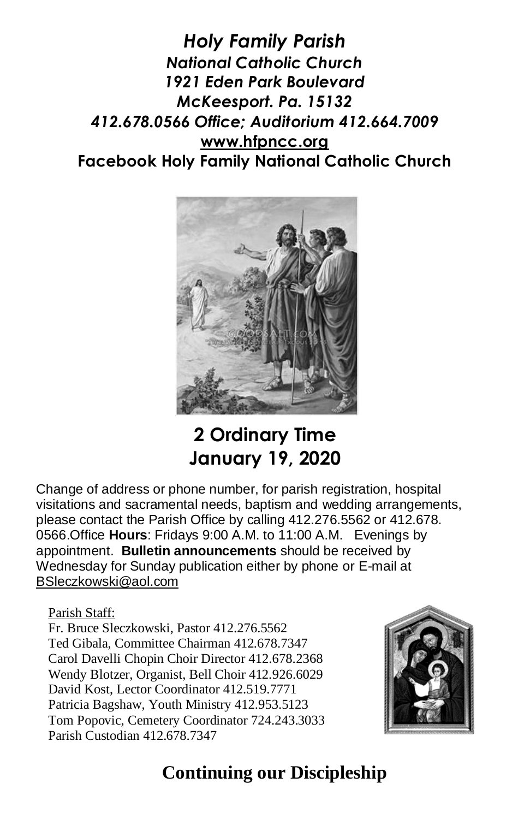*Holy Family Parish National Catholic Church 1921 Eden Park Boulevard McKeesport. Pa. 15132 412.678.0566 Office; Auditorium 412.664.7009* **[www.hfpncc.org](http://www.hfpncc.org/) Facebook Holy Family National Catholic Church**



# **2 Ordinary Time January 19, 2020**

Change of address or phone number, for parish registration, hospital visitations and sacramental needs, baptism and wedding arrangements, please contact the Parish Office by calling 412.276.5562 or 412.678. 0566.Office **Hours**: Fridays 9:00 A.M. to 11:00 A.M. Evenings by appointment. **Bulletin announcements** should be received by Wednesday for Sunday publication either by phone or E-mail at [BSleczkowski@aol.com](mailto:BSleczkowski@aol.com)

#### Parish Staff:

Fr. Bruce Sleczkowski, Pastor 412.276.5562 Ted Gibala, Committee Chairman 412.678.7347 Carol Davelli Chopin Choir Director 412.678.2368 Wendy Blotzer, Organist, Bell Choir 412.926.6029 David Kost, Lector Coordinator 412.519.7771 Patricia Bagshaw, Youth Ministry 412.953.5123 Tom Popovic, Cemetery Coordinator 724.243.3033 Parish Custodian 412.678.7347



## **Continuing our Discipleship**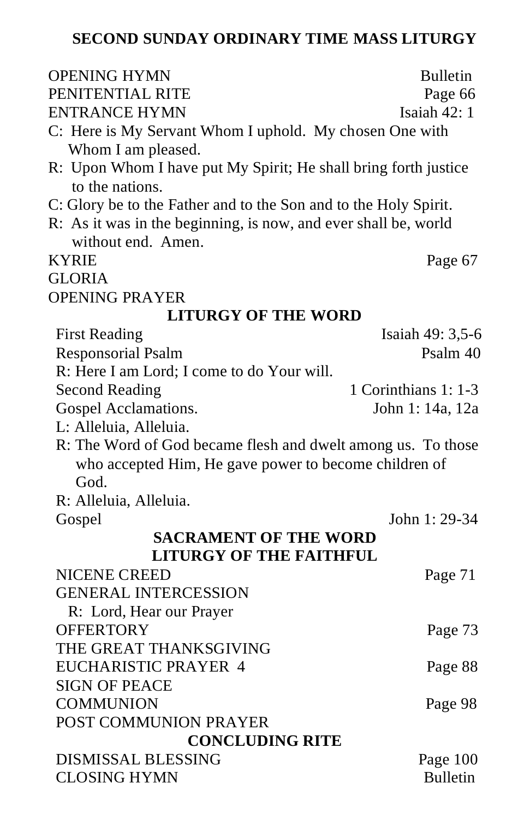### **SECOND SUNDAY ORDINARY TIME MASS LITURGY**

| <b>OPENING HYMN</b>                                                                | <b>Bulletin</b>      |  |  |  |  |  |
|------------------------------------------------------------------------------------|----------------------|--|--|--|--|--|
| PENITENTIAL RITE                                                                   | Page 66              |  |  |  |  |  |
| <b>ENTRANCE HYMN</b>                                                               | Isaiah 42: 1         |  |  |  |  |  |
| C: Here is My Servant Whom I uphold. My chosen One with<br>Whom I am pleased.      |                      |  |  |  |  |  |
| R: Upon Whom I have put My Spirit; He shall bring forth justice<br>to the nations. |                      |  |  |  |  |  |
| C: Glory be to the Father and to the Son and to the Holy Spirit.                   |                      |  |  |  |  |  |
| R: As it was in the beginning, is now, and ever shall be, world                    |                      |  |  |  |  |  |
| without end. Amen.                                                                 |                      |  |  |  |  |  |
| <b>KYRIE</b>                                                                       | Page 67              |  |  |  |  |  |
| <b>GLORIA</b>                                                                      |                      |  |  |  |  |  |
| <b>OPENING PRAYER</b>                                                              |                      |  |  |  |  |  |
| <b>LITURGY OF THE WORD</b>                                                         |                      |  |  |  |  |  |
| <b>First Reading</b>                                                               | Isaiah 49: 3,5-6     |  |  |  |  |  |
| <b>Responsorial Psalm</b>                                                          | Psalm 40             |  |  |  |  |  |
| R: Here I am Lord; I come to do Your will.                                         |                      |  |  |  |  |  |
| <b>Second Reading</b>                                                              | 1 Corinthians 1: 1-3 |  |  |  |  |  |
| Gospel Acclamations.                                                               | John 1: 14a, 12a     |  |  |  |  |  |
| L: Alleluia, Alleluia.                                                             |                      |  |  |  |  |  |
| R: The Word of God became flesh and dwelt among us. To those                       |                      |  |  |  |  |  |
| who accepted Him, He gave power to become children of                              |                      |  |  |  |  |  |
| God.                                                                               |                      |  |  |  |  |  |
| R: Alleluia, Alleluia.                                                             |                      |  |  |  |  |  |
| Gospel                                                                             | John 1: 29-34        |  |  |  |  |  |
| <b>SACRAMENT OF THE WORD</b>                                                       |                      |  |  |  |  |  |
| <b>LITURGY OF THE FAITHFUL</b>                                                     |                      |  |  |  |  |  |
| <b>NICENE CREED</b>                                                                | Page 71              |  |  |  |  |  |
| <b>GENERAL INTERCESSION</b>                                                        |                      |  |  |  |  |  |
| R: Lord, Hear our Prayer                                                           |                      |  |  |  |  |  |
| <b>OFFERTORY</b>                                                                   | Page 73              |  |  |  |  |  |
| THE GREAT THANKSGIVING                                                             |                      |  |  |  |  |  |
| <b>EUCHARISTIC PRAYER 4</b>                                                        | Page 88              |  |  |  |  |  |
| <b>SIGN OF PEACE</b>                                                               |                      |  |  |  |  |  |
| <b>COMMUNION</b>                                                                   | Page 98              |  |  |  |  |  |
| POST COMMUNION PRAYER                                                              |                      |  |  |  |  |  |
| <b>CONCLUDING RITE</b>                                                             |                      |  |  |  |  |  |
| <b>DISMISSAL BLESSING</b>                                                          | Page 100             |  |  |  |  |  |
| <b>CLOSING HYMN</b>                                                                | <b>Bulletin</b>      |  |  |  |  |  |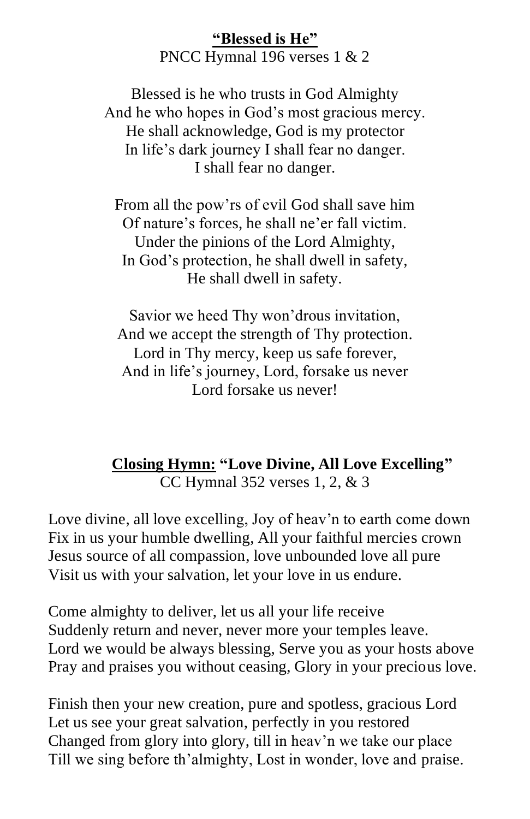#### **"Blessed is He"** PNCC Hymnal 196 verses 1 & 2

Blessed is he who trusts in God Almighty And he who hopes in God's most gracious mercy. He shall acknowledge, God is my protector In life's dark journey I shall fear no danger. I shall fear no danger.

From all the pow'rs of evil God shall save him Of nature's forces, he shall ne'er fall victim. Under the pinions of the Lord Almighty, In God's protection, he shall dwell in safety, He shall dwell in safety.

Savior we heed Thy won'drous invitation, And we accept the strength of Thy protection. Lord in Thy mercy, keep us safe forever, And in life's journey, Lord, forsake us never Lord forsake us never!

### **Closing Hymn: "Love Divine, All Love Excelling"** CC Hymnal 352 verses 1, 2, & 3

Love divine, all love excelling, Joy of heav'n to earth come down Fix in us your humble dwelling, All your faithful mercies crown Jesus source of all compassion, love unbounded love all pure Visit us with your salvation, let your love in us endure.

Come almighty to deliver, let us all your life receive Suddenly return and never, never more your temples leave. Lord we would be always blessing, Serve you as your hosts above Pray and praises you without ceasing, Glory in your precious love.

Finish then your new creation, pure and spotless, gracious Lord Let us see your great salvation, perfectly in you restored Changed from glory into glory, till in heav'n we take our place Till we sing before th'almighty, Lost in wonder, love and praise.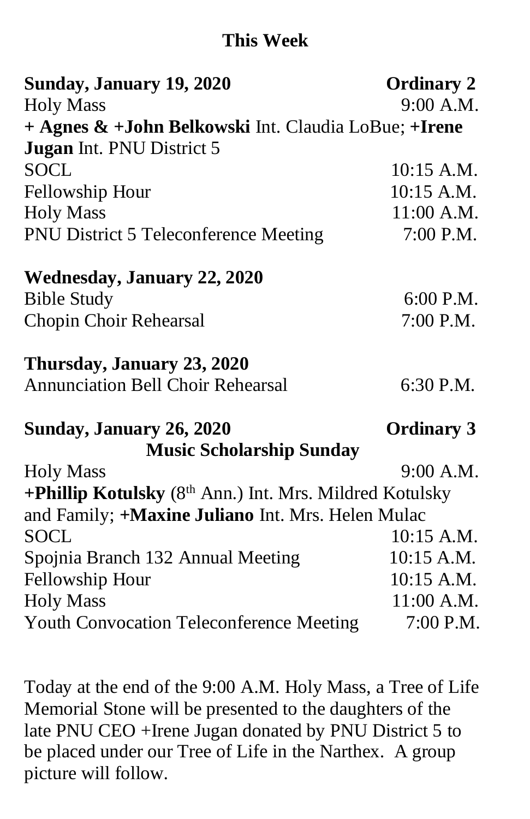## **This Week**

| Sunday, January 19, 2020                                | <b>Ordinary 2</b> |
|---------------------------------------------------------|-------------------|
| <b>Holy Mass</b>                                        | 9:00 A.M.         |
| + Agnes & +John Belkowski Int. Claudia LoBue; +Irene    |                   |
| <b>Jugan</b> Int. PNU District 5                        |                   |
| <b>SOCL</b>                                             | $10:15$ A.M.      |
| Fellowship Hour                                         | $10:15$ A.M.      |
| <b>Holy Mass</b>                                        | 11:00 A.M.        |
| <b>PNU District 5 Teleconference Meeting</b>            | 7:00 P.M.         |
| <b>Wednesday, January 22, 2020</b>                      |                   |
| <b>Bible Study</b>                                      | 6:00 P.M.         |
| Chopin Choir Rehearsal                                  | 7:00 P.M.         |
| Thursday, January 23, 2020                              |                   |
| <b>Annunciation Bell Choir Rehearsal</b>                | 6:30 P.M.         |
| Sunday, January 26, 2020                                | <b>Ordinary 3</b> |
| <b>Music Scholarship Sunday</b>                         |                   |
| <b>Holy Mass</b>                                        | 9:00 A.M.         |
| +Phillip Kotulsky (8th Ann.) Int. Mrs. Mildred Kotulsky |                   |
| and Family; +Maxine Juliano Int. Mrs. Helen Mulac       |                   |
| <b>SOCL</b>                                             | $10:15$ A.M.      |
| Spojnia Branch 132 Annual Meeting                       | 10:15 A.M.        |
| Fellowship Hour                                         | 10:15 A.M.        |
| <b>Holy Mass</b>                                        | 11:00 A.M.        |
| <b>Youth Convocation Teleconference Meeting</b>         | 7:00 P.M.         |

Today at the end of the 9:00 A.M. Holy Mass, a Tree of Life Memorial Stone will be presented to the daughters of the late PNU CEO +Irene Jugan donated by PNU District 5 to be placed under our Tree of Life in the Narthex. A group picture will follow.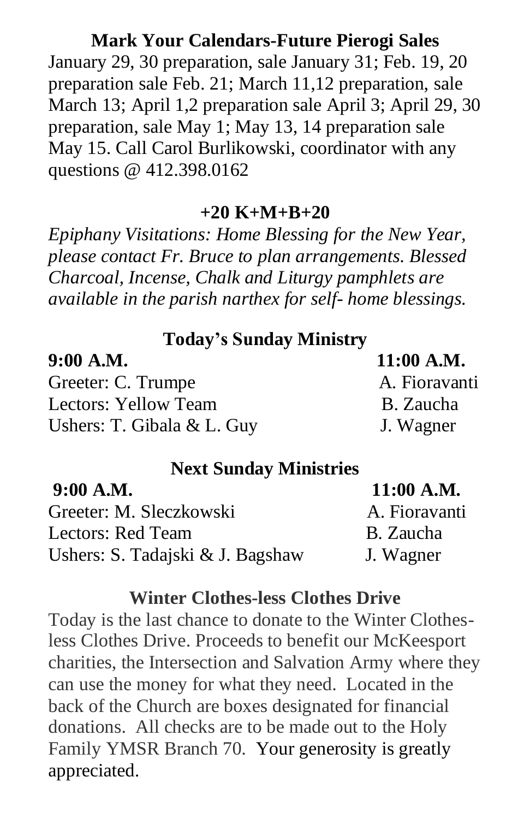#### **Mark Your Calendars-Future Pierogi Sales**

January 29, 30 preparation, sale January 31; Feb. 19, 20 preparation sale Feb. 21; March 11,12 preparation, sale March 13; April 1,2 preparation sale April 3; April 29, 30 preparation, sale May 1; May 13, 14 preparation sale May 15. Call Carol Burlikowski, coordinator with any questions @ 412.398.0162

#### **+20 K+M+B+20**

*Epiphany Visitations: Home Blessing for the New Year, please contact Fr. Bruce to plan arrangements. Blessed Charcoal, Incense, Chalk and Liturgy pamphlets are available in the parish narthex for self- home blessings.*

### **Today's Sunday Ministry**

| 9:00 A.M.                    | $11:00$ A.M.  |
|------------------------------|---------------|
| Greeter: C. Trumpe           | A. Fioravanti |
| Lectors: Yellow Team         | B. Zaucha     |
| Ushers: T. Gibala $&$ L. Guy | J. Wagner     |

#### **Next Sunday Ministries**

| $9:00$ A.M.                      | $11:00$ A.M.  |
|----------------------------------|---------------|
| Greeter: M. Sleczkowski          | A. Fioravanti |
| Lectors: Red Team                | B. Zaucha     |
| Ushers: S. Tadajski & J. Bagshaw | J. Wagner     |

#### **Winter Clothes-less Clothes Drive**

Today is the last chance to donate to the Winter Clothesless Clothes Drive. Proceeds to benefit our McKeesport charities, the Intersection and Salvation Army where they can use the money for what they need. Located in the back of the Church are boxes designated for financial donations. All checks are to be made out to the Holy Family YMSR Branch 70. Your generosity is greatly appreciated.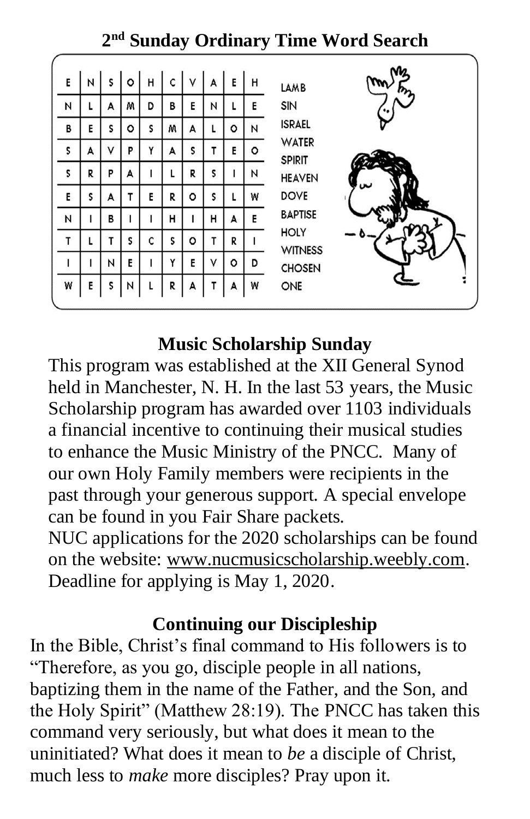**2 nd Sunday Ordinary Time Word Search**

| Ε | N | S | ٥ | н | C | ٧ | A  | E | н | m<br>LAMB                     |
|---|---|---|---|---|---|---|----|---|---|-------------------------------|
| И |   | А | м | D | В | E | N  |   | E | SIN                           |
| B | E | S | ٥ | S | w | А | L  | ٥ | И | <b>ISRAEL</b>                 |
| S | А | ٧ | P | Y | А | S | т  | E | ۰ | <b>WATER</b><br><b>SPIRIT</b> |
| S | R | P | A |   |   | R | \$ |   | И | <b>HEAVEN</b>                 |
| E | s | А |   | E | R | ۰ | S  |   | W | w<br><b>DOVE</b>              |
| Ν |   | В |   |   | н |   | Н  | A | E | <b>BAPTISE</b>                |
| T |   | т | s | C | S | ۰ | т  | R |   | <b>HOLY</b><br><b>WITNESS</b> |
| ı |   | N | E |   | Y | E | ٧  | ٥ | D | <b>CHOSEN</b>                 |
| W | E | S | И |   | R | A | т  | A | W | ONE                           |
|   |   |   |   |   |   |   |    |   |   |                               |

## **Music Scholarship Sunday**

This program was established at the XII General Synod held in Manchester, N. H. In the last 53 years, the Music Scholarship program has awarded over 1103 individuals a financial incentive to continuing their musical studies to enhance the Music Ministry of the PNCC. Many of our own Holy Family members were recipients in the past through your generous support. A special envelope can be found in you Fair Share packets.

NUC applications for the 2020 scholarships can be found on the website: [www.nucmusicscholarship.weebly.com.](http://www.nucmusicscholarship.weebly.com/) Deadline for applying is May 1, 2020.

## **Continuing our Discipleship**

In the Bible, Christ's final command to His followers is to "Therefore, as you go, disciple people in all nations, baptizing them in the name of the Father, and the Son, and the Holy Spirit" (Matthew 28:19). The PNCC has taken this command very seriously, but what does it mean to the uninitiated? What does it mean to *be* a disciple of Christ, much less to *make* more disciples? Pray upon it.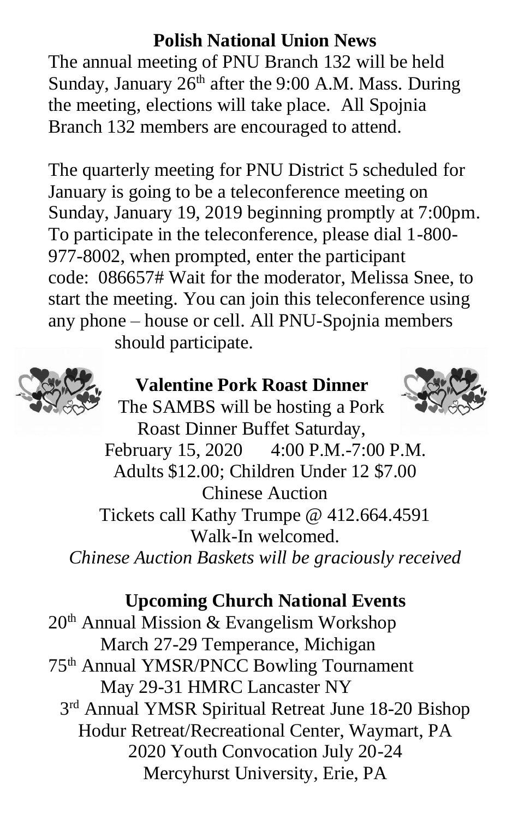## **Polish National Union News**

The annual meeting of PNU Branch 132 will be held Sunday, January  $26<sup>th</sup>$  after the 9:00 A.M. Mass. During the meeting, elections will take place. All Spojnia Branch 132 members are encouraged to attend.

The quarterly meeting for PNU District 5 scheduled for January is going to be a teleconference meeting on Sunday, January 19, 2019 beginning promptly at 7:00pm. To participate in the teleconference, please dial 1-800- 977-8002, when prompted, enter the participant code: 086657# Wait for the moderator, Melissa Snee, to start the meeting. You can join this teleconference using any phone – house or cell. All PNU-Spojnia members should participate.



## **Valentine Pork Roast Dinner**



## **Upcoming Church National Events**

 $20<sup>th</sup>$  Annual Mission & Evangelism Workshop March 27-29 Temperance, Michigan 75th Annual YMSR/PNCC Bowling Tournament May 29-31 HMRC Lancaster NY 3<sup>rd</sup> Annual YMSR Spiritual Retreat June 18-20 Bishop Hodur Retreat/Recreational Center, Waymart, PA 2020 Youth Convocation July 20-24 Mercyhurst University, Erie, PA